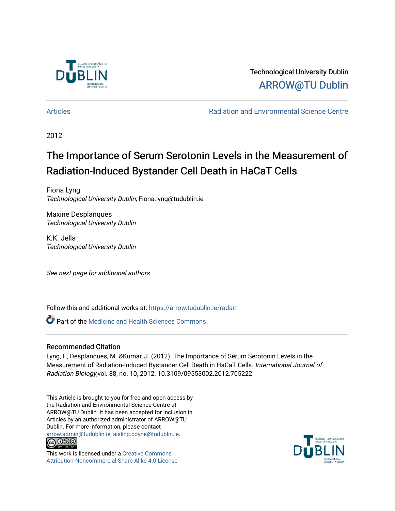

Technological University Dublin [ARROW@TU Dublin](https://arrow.tudublin.ie/) 

[Articles](https://arrow.tudublin.ie/radart) [Radiation and Environmental Science Centre](https://arrow.tudublin.ie/rad) 

2012

# The Importance of Serum Serotonin Levels in the Measurement of Radiation-Induced Bystander Cell Death in HaCaT Cells

Fiona Lyng Technological University Dublin, Fiona.lyng@tudublin.ie

Maxine Desplanques Technological University Dublin

K.K. Jella Technological University Dublin

See next page for additional authors

Follow this and additional works at: [https://arrow.tudublin.ie/radart](https://arrow.tudublin.ie/radart?utm_source=arrow.tudublin.ie%2Fradart%2F50&utm_medium=PDF&utm_campaign=PDFCoverPages) 

**C** Part of the Medicine and Health Sciences Commons

#### Recommended Citation

Lyng, F., Desplanques, M. &Kumar, J. (2012). The Importance of Serum Serotonin Levels in the Measurement of Radiation-Induced Bystander Cell Death in HaCaT Cells. International Journal of Radiation Biology,vol. 88, no. 10, 2012. 10.3109/09553002.2012.705222

This Article is brought to you for free and open access by the Radiation and Environmental Science Centre at ARROW@TU Dublin. It has been accepted for inclusion in Articles by an authorized administrator of ARROW@TU Dublin. For more information, please contact [arrow.admin@tudublin.ie, aisling.coyne@tudublin.ie](mailto:arrow.admin@tudublin.ie,%20aisling.coyne@tudublin.ie).



This work is licensed under a [Creative Commons](http://creativecommons.org/licenses/by-nc-sa/4.0/) [Attribution-Noncommercial-Share Alike 4.0 License](http://creativecommons.org/licenses/by-nc-sa/4.0/)

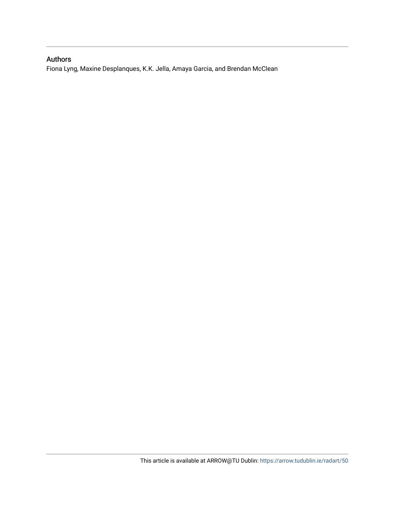### Authors

Fiona Lyng, Maxine Desplanques, K.K. Jella, Amaya Garcia, and Brendan McClean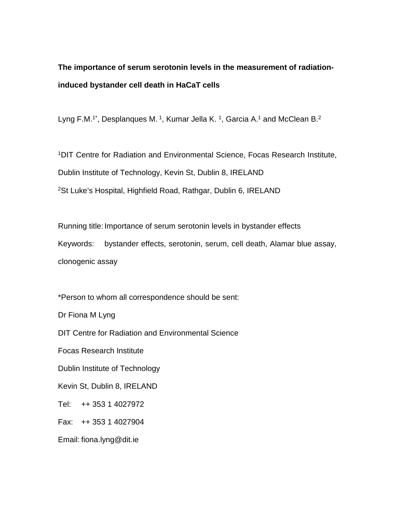## **The importance of serum serotonin levels in the measurement of radiationinduced bystander cell death in HaCaT cells**

Lyng F.M.<sup>1\*</sup>, Desplanques M.<sup>1</sup>, Kumar Jella K.<sup>1</sup>, Garcia A.<sup>1</sup> and McClean B.<sup>2</sup>

1DIT Centre for Radiation and Environmental Science, Focas Research Institute, Dublin Institute of Technology, Kevin St, Dublin 8, IRELAND 2St Luke's Hospital, Highfield Road, Rathgar, Dublin 6, IRELAND

Running title: Importance of serum serotonin levels in bystander effects Keywords: bystander effects, serotonin, serum, cell death, Alamar blue assay, clonogenic assay

\*Person to whom all correspondence should be sent:

Dr Fiona M Lyng

DIT Centre for Radiation and Environmental Science

Focas Research Institute

Dublin Institute of Technology

Kevin St, Dublin 8, IRELAND

Tel: ++ 353 1 4027972

Fax: ++ 353 1 4027904

Email: fiona.lyng@dit.ie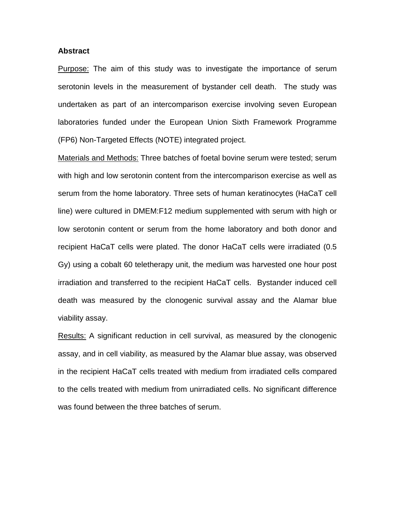#### **Abstract**

Purpose: The aim of this study was to investigate the importance of serum serotonin levels in the measurement of bystander cell death. The study was undertaken as part of an intercomparison exercise involving seven European laboratories funded under the European Union Sixth Framework Programme (FP6) Non-Targeted Effects (NOTE) integrated project.

Materials and Methods: Three batches of foetal bovine serum were tested; serum with high and low serotonin content from the intercomparison exercise as well as serum from the home laboratory. Three sets of human keratinocytes (HaCaT cell line) were cultured in DMEM:F12 medium supplemented with serum with high or low serotonin content or serum from the home laboratory and both donor and recipient HaCaT cells were plated. The donor HaCaT cells were irradiated (0.5 Gy) using a cobalt 60 teletherapy unit, the medium was harvested one hour post irradiation and transferred to the recipient HaCaT cells. Bystander induced cell death was measured by the clonogenic survival assay and the Alamar blue viability assay.

Results: A significant reduction in cell survival, as measured by the clonogenic assay, and in cell viability, as measured by the Alamar blue assay, was observed in the recipient HaCaT cells treated with medium from irradiated cells compared to the cells treated with medium from unirradiated cells. No significant difference was found between the three batches of serum.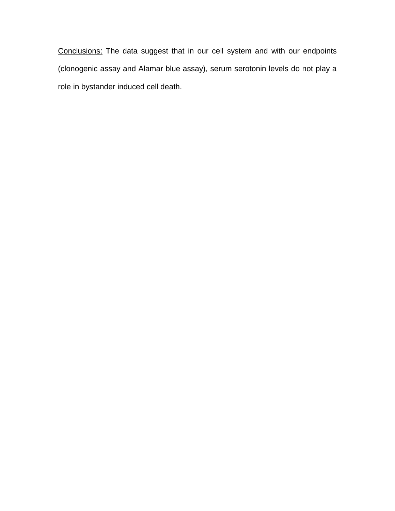Conclusions: The data suggest that in our cell system and with our endpoints (clonogenic assay and Alamar blue assay), serum serotonin levels do not play a role in bystander induced cell death.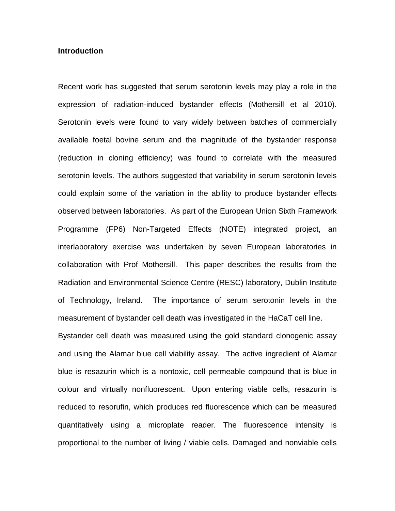#### **Introduction**

Recent work has suggested that serum serotonin levels may play a role in the expression of radiation-induced bystander effects (Mothersill et al 2010). Serotonin levels were found to vary widely between batches of commercially available foetal bovine serum and the magnitude of the bystander response (reduction in cloning efficiency) was found to correlate with the measured serotonin levels. The authors suggested that variability in serum serotonin levels could explain some of the variation in the ability to produce bystander effects observed between laboratories. As part of the European Union Sixth Framework Programme (FP6) Non-Targeted Effects (NOTE) integrated project, an interlaboratory exercise was undertaken by seven European laboratories in collaboration with Prof Mothersill. This paper describes the results from the Radiation and Environmental Science Centre (RESC) laboratory, Dublin Institute of Technology, Ireland. The importance of serum serotonin levels in the measurement of bystander cell death was investigated in the HaCaT cell line.

Bystander cell death was measured using the gold standard clonogenic assay and using the Alamar blue cell viability assay. The active ingredient of Alamar blue is resazurin which is a nontoxic, cell permeable compound that is blue in colour and virtually nonfluorescent. Upon entering viable cells, resazurin is reduced to resorufin, which produces red fluorescence which can be measured quantitatively using a microplate reader. The fluorescence intensity is proportional to the number of living / viable cells. Damaged and nonviable cells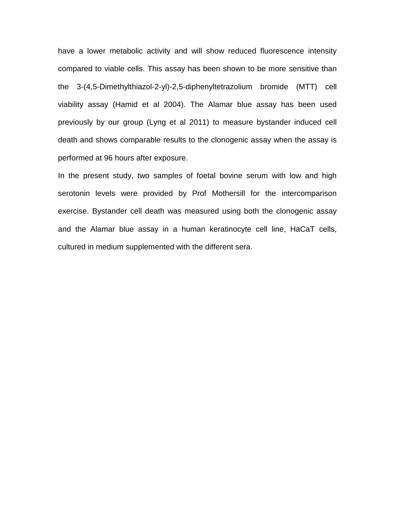have a lower metabolic activity and will show reduced fluorescence intensity compared to viable cells. This assay has been shown to be more sensitive than the 3-(4,5[-Dimethyl](http://en.wikipedia.org/wiki/Di-)[thiazol-](http://en.wikipedia.org/wiki/Thiazole)2-yl)-2,5-d[iphenylt](http://en.wikipedia.org/wiki/Phenyl)etrazolium bromide (MTT) cell viability assay (Hamid et al 2004). The Alamar blue assay has been used previously by our group (Lyng et al 2011) to measure bystander induced cell death and shows comparable results to the clonogenic assay when the assay is performed at 96 hours after exposure.

In the present study, two samples of foetal bovine serum with low and high serotonin levels were provided by Prof Mothersill for the intercomparison exercise. Bystander cell death was measured using both the clonogenic assay and the Alamar blue assay in a human keratinocyte cell line, HaCaT cells, cultured in medium supplemented with the different sera.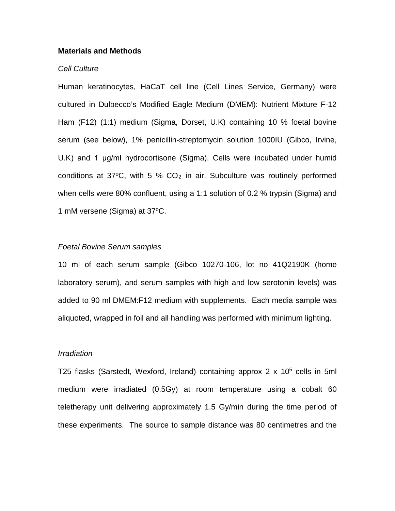#### **Materials and Methods**

#### *Cell Culture*

Human keratinocytes, HaCaT cell line (Cell Lines Service, Germany) were cultured in Dulbecco's Modified Eagle Medium (DMEM): Nutrient Mixture F-12 Ham (F12) (1:1) medium (Sigma, Dorset, U.K) containing 10 % foetal bovine serum (see below), 1% penicillin-streptomycin solution 1000IU (Gibco, Irvine, U.K) and 1 μg/ml hydrocortisone (Sigma). Cells were incubated under humid conditions at  $37^{\circ}$ C, with 5 % CO<sub>2</sub> in air. Subculture was routinely performed when cells were 80% confluent, using a 1:1 solution of 0.2 % trypsin (Sigma) and 1 mM versene (Sigma) at 37ºC.

#### *Foetal Bovine Serum samples*

10 ml of each serum sample (Gibco 10270-106, lot no 41Q2190K (home laboratory serum), and serum samples with high and low serotonin levels) was added to 90 ml DMEM:F12 medium with supplements. Each media sample was aliquoted, wrapped in foil and all handling was performed with minimum lighting.

#### *Irradiation*

T25 flasks (Sarstedt, Wexford, Ireland) containing approx  $2 \times 10^5$  cells in 5ml medium were irradiated (0.5Gy) at room temperature using a cobalt 60 teletherapy unit delivering approximately 1.5 Gy/min during the time period of these experiments. The source to sample distance was 80 centimetres and the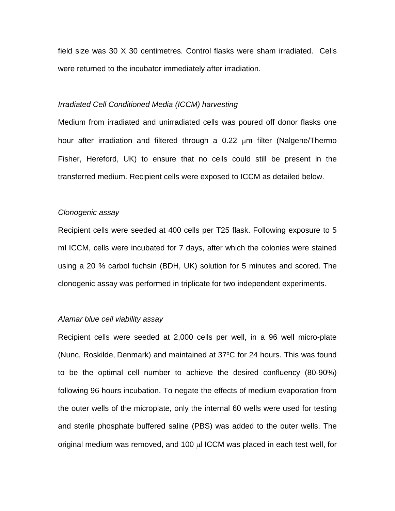field size was 30 X 30 centimetres. Control flasks were sham irradiated. Cells were returned to the incubator immediately after irradiation.

#### *Irradiated Cell Conditioned Media (ICCM) harvesting*

Medium from irradiated and unirradiated cells was poured off donor flasks one hour after irradiation and filtered through a 0.22 µm filter (Nalgene/Thermo Fisher, Hereford, UK) to ensure that no cells could still be present in the transferred medium. Recipient cells were exposed to ICCM as detailed below.

#### *Clonogenic assay*

Recipient cells were seeded at 400 cells per T25 flask. Following exposure to 5 ml ICCM, cells were incubated for 7 days, after which the colonies were stained using a 20 % carbol fuchsin (BDH, UK) solution for 5 minutes and scored. The clonogenic assay was performed in triplicate for two independent experiments.

#### *Alamar blue cell viability assay*

Recipient cells were seeded at 2,000 cells per well, in a 96 well micro-plate (Nunc, Roskilde, Denmark) and maintained at 37°C for 24 hours. This was found to be the optimal cell number to achieve the desired confluency (80-90%) following 96 hours incubation. To negate the effects of medium evaporation from the outer wells of the microplate, only the internal 60 wells were used for testing and sterile phosphate buffered saline (PBS) was added to the outer wells. The original medium was removed, and 100 µl ICCM was placed in each test well, for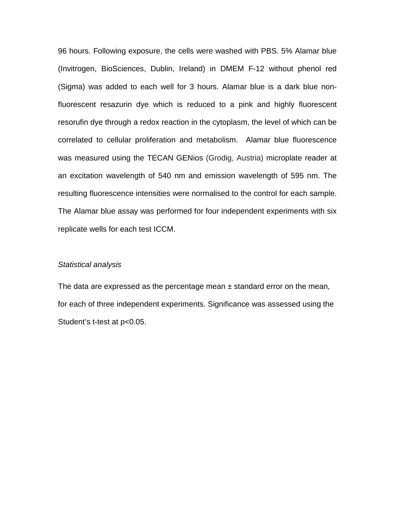96 hours. Following exposure, the cells were washed with PBS. 5% Alamar blue (Invitrogen, BioSciences, Dublin, Ireland) in DMEM F-12 without phenol red (Sigma) was added to each well for 3 hours. Alamar blue is a dark blue nonfluorescent resazurin dye which is reduced to a pink and highly fluorescent resorufin dye through a redox reaction in the cytoplasm, the level of which can be correlated to cellular proliferation and metabolism. Alamar blue fluorescence was measured using the TECAN GENios (Grodig, Austria) microplate reader at an excitation wavelength of 540 nm and emission wavelength of 595 nm. The resulting fluorescence intensities were normalised to the control for each sample. The Alamar blue assay was performed for four independent experiments with six replicate wells for each test ICCM.

#### *Statistical analysis*

The data are expressed as the percentage mean  $\pm$  standard error on the mean, for each of three independent experiments. Significance was assessed using the Student's t-test at p<0.05.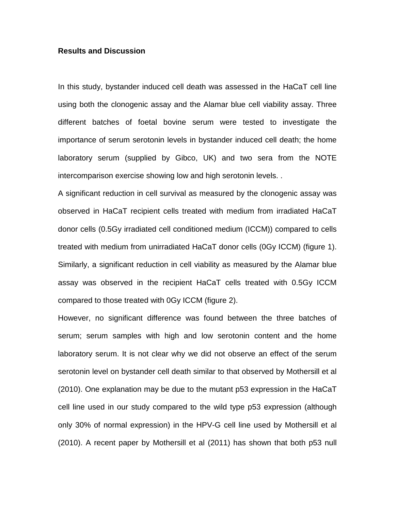#### **Results and Discussion**

In this study, bystander induced cell death was assessed in the HaCaT cell line using both the clonogenic assay and the Alamar blue cell viability assay. Three different batches of foetal bovine serum were tested to investigate the importance of serum serotonin levels in bystander induced cell death; the home laboratory serum (supplied by Gibco, UK) and two sera from the NOTE intercomparison exercise showing low and high serotonin levels. .

A significant reduction in cell survival as measured by the clonogenic assay was observed in HaCaT recipient cells treated with medium from irradiated HaCaT donor cells (0.5Gy irradiated cell conditioned medium (ICCM)) compared to cells treated with medium from unirradiated HaCaT donor cells (0Gy ICCM) (figure 1). Similarly, a significant reduction in cell viability as measured by the Alamar blue assay was observed in the recipient HaCaT cells treated with 0.5Gy ICCM compared to those treated with 0Gy ICCM (figure 2).

However, no significant difference was found between the three batches of serum; serum samples with high and low serotonin content and the home laboratory serum. It is not clear why we did not observe an effect of the serum serotonin level on bystander cell death similar to that observed by Mothersill et al (2010). One explanation may be due to the mutant p53 expression in the HaCaT cell line used in our study compared to the wild type p53 expression (although only 30% of normal expression) in the HPV-G cell line used by Mothersill et al (2010). A recent paper by Mothersill et al (2011) has shown that both p53 null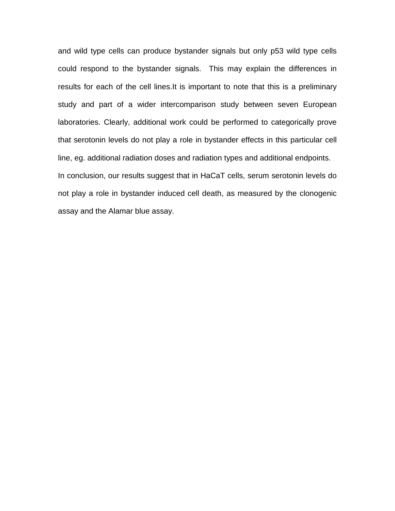and wild type cells can produce bystander signals but only p53 wild type cells could respond to the bystander signals. This may explain the differences in results for each of the cell lines.It is important to note that this is a preliminary study and part of a wider intercomparison study between seven European laboratories. Clearly, additional work could be performed to categorically prove that serotonin levels do not play a role in bystander effects in this particular cell line, eg. additional radiation doses and radiation types and additional endpoints. In conclusion, our results suggest that in HaCaT cells, serum serotonin levels do not play a role in bystander induced cell death, as measured by the clonogenic assay and the Alamar blue assay.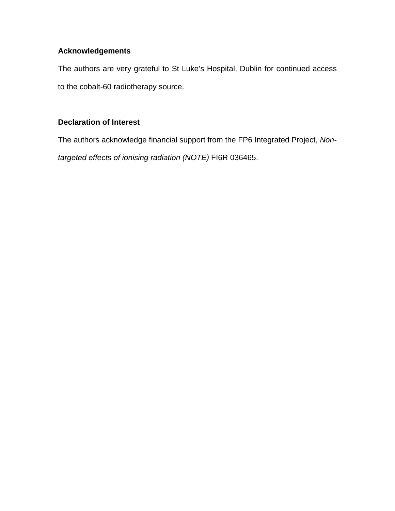## **Acknowledgements**

The authors are very grateful to St Luke's Hospital, Dublin for continued access to the cobalt-60 radiotherapy source.

## **Declaration of Interest**

The authors acknowledge financial support from the FP6 Integrated Project, *Nontargeted effects of ionising radiation (NOTE)* FI6R 036465.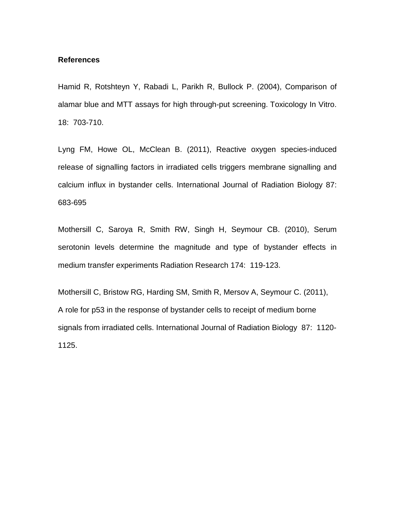#### **References**

Hamid R, Rotshteyn Y, Rabadi L, Parikh R, Bullock P. (2004), Comparison of alamar blue and MTT assays for high through-put screening. Toxicology In Vitro. 18: 703-710.

Lyng FM, Howe OL, McClean B. (2011), Reactive oxygen species-induced release of signalling factors in irradiated cells triggers membrane signalling and calcium influx in bystander cells. International Journal of Radiation Biology 87: 683-695

Mothersill C, Saroya R, Smith RW, Singh H, Seymour CB. (2010), Serum serotonin levels determine the magnitude and type of bystander effects in medium transfer experiments Radiation Research 174: 119-123.

Mothersill C, Bristow RG, Harding SM, Smith R, Mersov A, Seymour C. (2011), A role for p53 in the response of bystander cells to receipt of medium borne signals from irradiated cells. International Journal of Radiation Biology 87: 1120- 1125.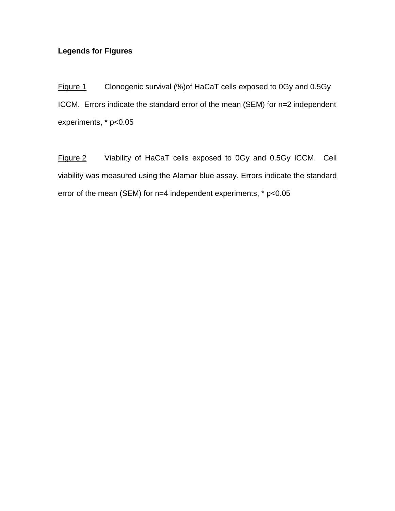## **Legends for Figures**

Figure 1 Clonogenic survival (%)of HaCaT cells exposed to 0Gy and 0.5Gy ICCM. Errors indicate the standard error of the mean (SEM) for n=2 independent experiments, \* p<0.05

Figure 2 Viability of HaCaT cells exposed to 0Gy and 0.5Gy ICCM. Cell viability was measured using the Alamar blue assay. Errors indicate the standard error of the mean (SEM) for n=4 independent experiments, \* p<0.05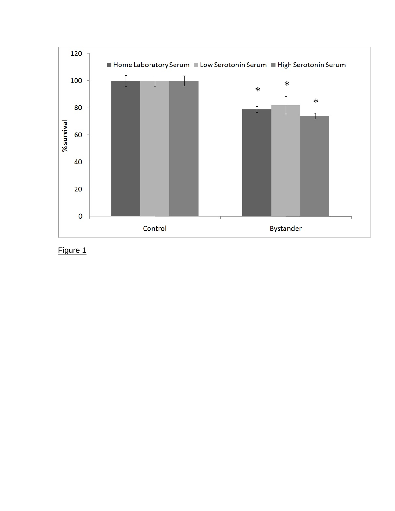

Figure 1